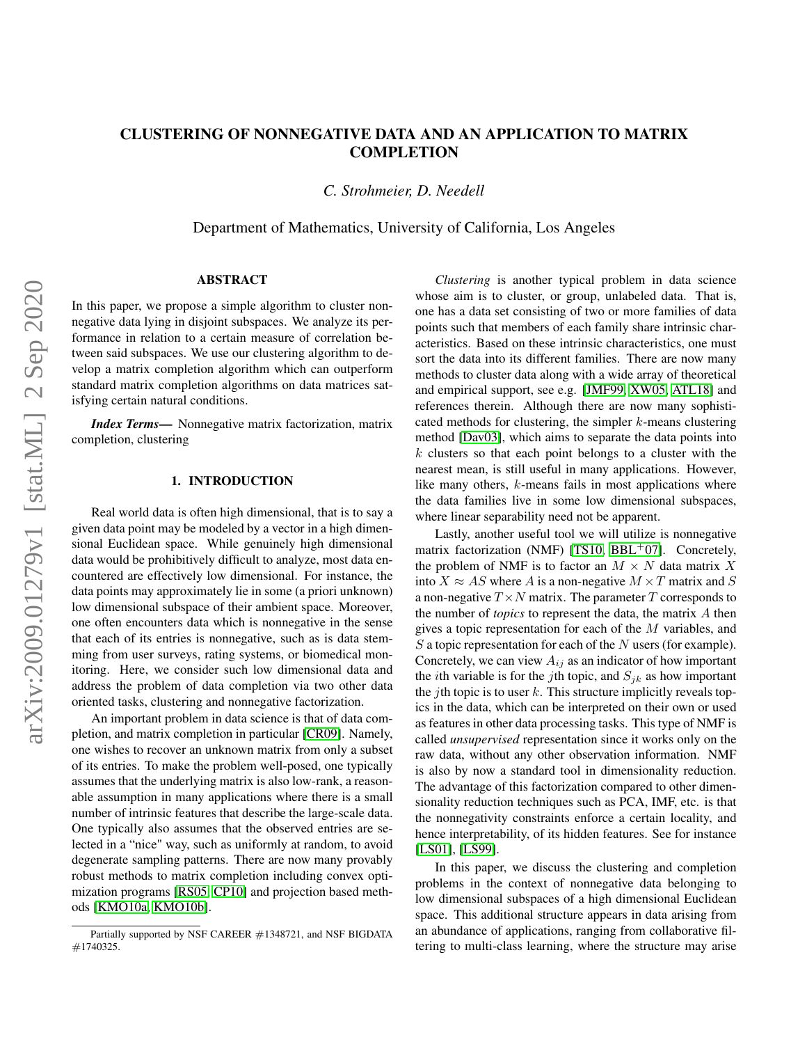# CLUSTERING OF NONNEGATIVE DATA AND AN APPLICATION TO MATRIX **COMPLETION**

*C. Strohmeier, D. Needell*

Department of Mathematics, University of California, Los Angeles

# ABSTRACT

In this paper, we propose a simple algorithm to cluster nonnegative data lying in disjoint subspaces. We analyze its performance in relation to a certain measure of correlation between said subspaces. We use our clustering algorithm to develop a matrix completion algorithm which can outperform standard matrix completion algorithms on data matrices satisfying certain natural conditions.

*Index Terms*— Nonnegative matrix factorization, matrix completion, clustering

# 1. INTRODUCTION

Real world data is often high dimensional, that is to say a given data point may be modeled by a vector in a high dimensional Euclidean space. While genuinely high dimensional data would be prohibitively difficult to analyze, most data encountered are effectively low dimensional. For instance, the data points may approximately lie in some (a priori unknown) low dimensional subspace of their ambient space. Moreover, one often encounters data which is nonnegative in the sense that each of its entries is nonnegative, such as is data stemming from user surveys, rating systems, or biomedical monitoring. Here, we consider such low dimensional data and address the problem of data completion via two other data oriented tasks, clustering and nonnegative factorization.

An important problem in data science is that of data completion, and matrix completion in particular [\[CR09\]](#page-3-0). Namely, one wishes to recover an unknown matrix from only a subset of its entries. To make the problem well-posed, one typically assumes that the underlying matrix is also low-rank, a reasonable assumption in many applications where there is a small number of intrinsic features that describe the large-scale data. One typically also assumes that the observed entries are selected in a "nice" way, such as uniformly at random, to avoid degenerate sampling patterns. There are now many provably robust methods to matrix completion including convex optimization programs [\[RS05,](#page-3-1) [CP10\]](#page-3-2) and projection based methods [\[KMO10a,](#page-3-3) [KMO10b\]](#page-3-4).

*Clustering* is another typical problem in data science whose aim is to cluster, or group, unlabeled data. That is, one has a data set consisting of two or more families of data points such that members of each family share intrinsic characteristics. Based on these intrinsic characteristics, one must sort the data into its different families. There are now many methods to cluster data along with a wide array of theoretical and empirical support, see e.g. [\[JMF99,](#page-3-5) [XW05,](#page-3-6) [ATL18\]](#page-3-7) and references therein. Although there are now many sophisticated methods for clustering, the simpler k-means clustering method [\[Dav03\]](#page-3-8), which aims to separate the data points into  $k$  clusters so that each point belongs to a cluster with the nearest mean, is still useful in many applications. However, like many others, k-means fails in most applications where the data families live in some low dimensional subspaces, where linear separability need not be apparent.

Lastly, another useful tool we will utilize is nonnegative matrix factorization (NMF) [\[TS10,](#page-3-9) [BBL](#page-3-10)<sup>+</sup>07]. Concretely, the problem of NMF is to factor an  $M \times N$  data matrix X into  $X \approx AS$  where A is a non-negative  $M \times T$  matrix and S a non-negative  $T \times N$  matrix. The parameter T corresponds to the number of *topics* to represent the data, the matrix A then gives a topic representation for each of the M variables, and  $S$  a topic representation for each of the  $N$  users (for example). Concretely, we can view  $A_{ij}$  as an indicator of how important the *i*th variable is for the *j*th topic, and  $S_{ik}$  as how important the *j*th topic is to user k. This structure implicitly reveals topics in the data, which can be interpreted on their own or used as features in other data processing tasks. This type of NMF is called *unsupervised* representation since it works only on the raw data, without any other observation information. NMF is also by now a standard tool in dimensionality reduction. The advantage of this factorization compared to other dimensionality reduction techniques such as PCA, IMF, etc. is that the nonnegativity constraints enforce a certain locality, and hence interpretability, of its hidden features. See for instance [\[LS01\]](#page-3-11), [\[LS99\]](#page-3-12).

In this paper, we discuss the clustering and completion problems in the context of nonnegative data belonging to low dimensional subspaces of a high dimensional Euclidean space. This additional structure appears in data arising from an abundance of applications, ranging from collaborative filtering to multi-class learning, where the structure may arise

Partially supported by NSF CAREER #1348721, and NSF BIGDATA #1740325.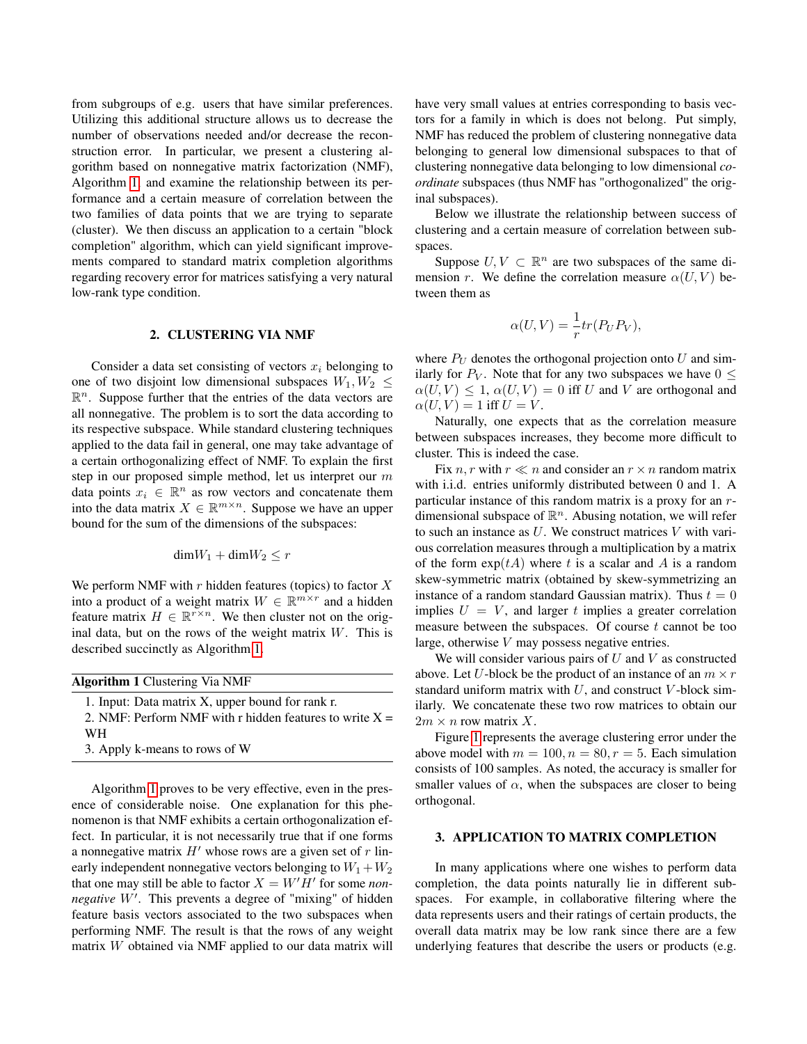from subgroups of e.g. users that have similar preferences. Utilizing this additional structure allows us to decrease the number of observations needed and/or decrease the reconstruction error. In particular, we present a clustering algorithm based on nonnegative matrix factorization (NMF), Algorithm [1,](#page-1-0) and examine the relationship between its performance and a certain measure of correlation between the two families of data points that we are trying to separate (cluster). We then discuss an application to a certain "block completion" algorithm, which can yield significant improvements compared to standard matrix completion algorithms regarding recovery error for matrices satisfying a very natural low-rank type condition.

# 2. CLUSTERING VIA NMF

Consider a data set consisting of vectors  $x_i$  belonging to one of two disjoint low dimensional subspaces  $W_1, W_2 \leq$  $\mathbb{R}^n$ . Suppose further that the entries of the data vectors are all nonnegative. The problem is to sort the data according to its respective subspace. While standard clustering techniques applied to the data fail in general, one may take advantage of a certain orthogonalizing effect of NMF. To explain the first step in our proposed simple method, let us interpret our m data points  $x_i \in \mathbb{R}^n$  as row vectors and concatenate them into the data matrix  $X \in \mathbb{R}^{m \times n}$ . Suppose we have an upper bound for the sum of the dimensions of the subspaces:

$$
\mathrm{dim}W_1+\mathrm{dim}W_2\leq r
$$

We perform NMF with  $r$  hidden features (topics) to factor  $X$ into a product of a weight matrix  $W \in \mathbb{R}^{m \times r}$  and a hidden feature matrix  $H \in \mathbb{R}^{r \times n}$ . We then cluster not on the original data, but on the rows of the weight matrix  $W$ . This is described succinctly as Algorithm [1.](#page-1-0)

<span id="page-1-0"></span>

| <b>Algorithm 1 Clustering Via NMF</b>                           | above. Let $U$ -block<br>standard uniform n<br>ilarly. We concate<br>$2m \times n$ row matrix<br>Figure 1 repres |
|-----------------------------------------------------------------|------------------------------------------------------------------------------------------------------------------|
| 1. Input: Data matrix X, upper bound for rank r.                |                                                                                                                  |
| 2. NMF: Perform NMF with r hidden features to write $X =$<br>WН |                                                                                                                  |

3. Apply k-means to rows of W

Algorithm [1](#page-1-0) proves to be very effective, even in the presence of considerable noise. One explanation for this phenomenon is that NMF exhibits a certain orthogonalization effect. In particular, it is not necessarily true that if one forms a nonnegative matrix  $H'$  whose rows are a given set of r linearly independent nonnegative vectors belonging to  $W_1 + W_2$ that one may still be able to factor  $X = W'H'$  for some *non*negative W'. This prevents a degree of "mixing" of hidden feature basis vectors associated to the two subspaces when performing NMF. The result is that the rows of any weight matrix W obtained via NMF applied to our data matrix will

have very small values at entries corresponding to basis vectors for a family in which is does not belong. Put simply, NMF has reduced the problem of clustering nonnegative data belonging to general low dimensional subspaces to that of clustering nonnegative data belonging to low dimensional *coordinate* subspaces (thus NMF has "orthogonalized" the original subspaces).

Below we illustrate the relationship between success of clustering and a certain measure of correlation between subspaces.

Suppose  $U, V \subset \mathbb{R}^n$  are two subspaces of the same dimension r. We define the correlation measure  $\alpha(U, V)$  between them as

$$
\alpha(U,V) = \frac{1}{r}tr(P_UP_V),
$$

where  $P_U$  denotes the orthogonal projection onto U and similarly for  $P_V$ . Note that for any two subspaces we have  $0 \leq$  $\alpha(U, V) \leq 1$ ,  $\alpha(U, V) = 0$  iff U and V are orthogonal and  $\alpha(U, V) = 1$  iff  $U = V$ .

Naturally, one expects that as the correlation measure between subspaces increases, they become more difficult to cluster. This is indeed the case.

Fix n, r with  $r \ll n$  and consider an  $r \times n$  random matrix with i.i.d. entries uniformly distributed between 0 and 1. A particular instance of this random matrix is a proxy for an rdimensional subspace of  $\mathbb{R}^n$ . Abusing notation, we will refer to such an instance as  $U$ . We construct matrices  $V$  with various correlation measures through a multiplication by a matrix of the form  $exp(tA)$  where t is a scalar and A is a random skew-symmetric matrix (obtained by skew-symmetrizing an instance of a random standard Gaussian matrix). Thus  $t = 0$ implies  $U = V$ , and larger t implies a greater correlation measure between the subspaces. Of course  $t$  cannot be too large, otherwise V may possess negative entries.

We will consider various pairs of  $U$  and  $V$  as constructed k be the product of an instance of an  $m \times r$ natrix with  $U$ , and construct V-block simnate these two row matrices to obtain our  $\boldsymbol{x}$   $\boldsymbol{X}$ .

Figure [1](#page-2-0) represents the average clustering error under the above model with  $m = 100, n = 80, r = 5$ . Each simulation consists of 100 samples. As noted, the accuracy is smaller for smaller values of  $\alpha$ , when the subspaces are closer to being orthogonal.

#### 3. APPLICATION TO MATRIX COMPLETION

In many applications where one wishes to perform data completion, the data points naturally lie in different subspaces. For example, in collaborative filtering where the data represents users and their ratings of certain products, the overall data matrix may be low rank since there are a few underlying features that describe the users or products (e.g.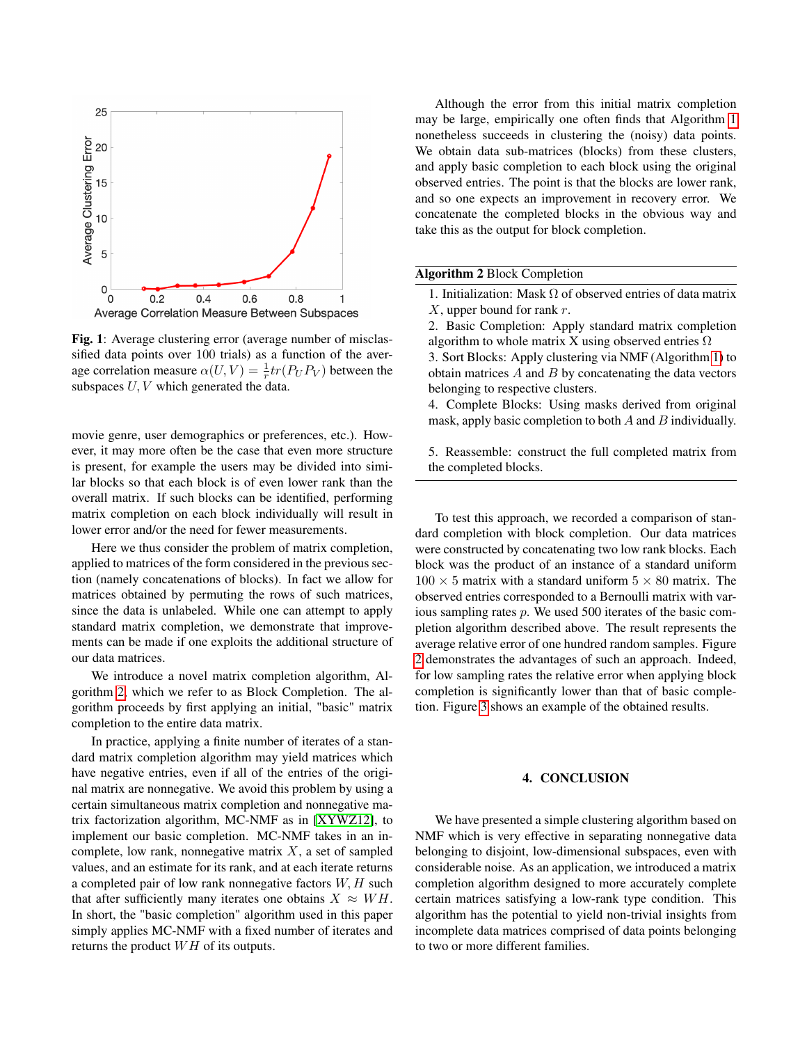<span id="page-2-0"></span>

Fig. 1: Average clustering error (average number of misclassified data points over 100 trials) as a function of the average correlation measure  $\alpha(U, V) = \frac{1}{r} tr(P_U P_V)$  between the subspaces  $U, V$  which generated the data.

movie genre, user demographics or preferences, etc.). However, it may more often be the case that even more structure is present, for example the users may be divided into similar blocks so that each block is of even lower rank than the overall matrix. If such blocks can be identified, performing matrix completion on each block individually will result in lower error and/or the need for fewer measurements.

Here we thus consider the problem of matrix completion, applied to matrices of the form considered in the previous section (namely concatenations of blocks). In fact we allow for matrices obtained by permuting the rows of such matrices, since the data is unlabeled. While one can attempt to apply standard matrix completion, we demonstrate that improvements can be made if one exploits the additional structure of our data matrices.

We introduce a novel matrix completion algorithm, Algorithm [2,](#page-2-1) which we refer to as Block Completion. The algorithm proceeds by first applying an initial, "basic" matrix completion to the entire data matrix.

In practice, applying a finite number of iterates of a standard matrix completion algorithm may yield matrices which have negative entries, even if all of the entries of the original matrix are nonnegative. We avoid this problem by using a certain simultaneous matrix completion and nonnegative matrix factorization algorithm, MC-NMF as in [\[XYWZ12\]](#page-4-0), to implement our basic completion. MC-NMF takes in an incomplete, low rank, nonnegative matrix  $X$ , a set of sampled values, and an estimate for its rank, and at each iterate returns a completed pair of low rank nonnegative factors  $W, H$  such that after sufficiently many iterates one obtains  $X \approx WH$ . In short, the "basic completion" algorithm used in this paper simply applies MC-NMF with a fixed number of iterates and returns the product  $WH$  of its outputs.

Although the error from this initial matrix completion may be large, empirically one often finds that Algorithm [1](#page-1-0) nonetheless succeeds in clustering the (noisy) data points. We obtain data sub-matrices (blocks) from these clusters, and apply basic completion to each block using the original observed entries. The point is that the blocks are lower rank, and so one expects an improvement in recovery error. We concatenate the completed blocks in the obvious way and take this as the output for block completion.

### <span id="page-2-1"></span>Algorithm 2 Block Completion

- 1. Initialization: Mask  $\Omega$  of observed entries of data matrix  $X$ , upper bound for rank  $r$ .
- 2. Basic Completion: Apply standard matrix completion algorithm to whole matrix X using observed entries  $\Omega$
- 3. Sort Blocks: Apply clustering via NMF (Algorithm [1\)](#page-1-0) to obtain matrices  $A$  and  $B$  by concatenating the data vectors belonging to respective clusters.
- 4. Complete Blocks: Using masks derived from original mask, apply basic completion to both  $A$  and  $B$  individually.

5. Reassemble: construct the full completed matrix from the completed blocks.

To test this approach, we recorded a comparison of standard completion with block completion. Our data matrices were constructed by concatenating two low rank blocks. Each block was the product of an instance of a standard uniform  $100 \times 5$  matrix with a standard uniform  $5 \times 80$  matrix. The observed entries corresponded to a Bernoulli matrix with various sampling rates p. We used 500 iterates of the basic completion algorithm described above. The result represents the average relative error of one hundred random samples. Figure [2](#page-3-13) demonstrates the advantages of such an approach. Indeed, for low sampling rates the relative error when applying block completion is significantly lower than that of basic completion. Figure [3](#page-3-14) shows an example of the obtained results.

### 4. CONCLUSION

We have presented a simple clustering algorithm based on NMF which is very effective in separating nonnegative data belonging to disjoint, low-dimensional subspaces, even with considerable noise. As an application, we introduced a matrix completion algorithm designed to more accurately complete certain matrices satisfying a low-rank type condition. This algorithm has the potential to yield non-trivial insights from incomplete data matrices comprised of data points belonging to two or more different families.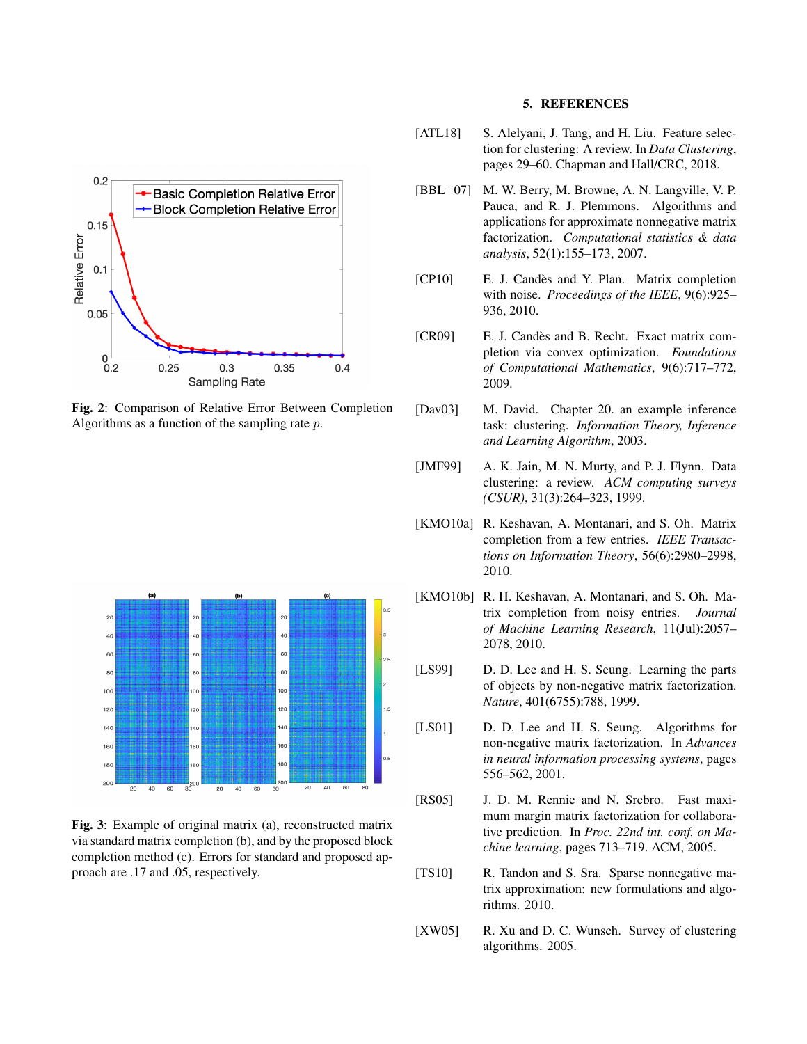<span id="page-3-13"></span>

Fig. 2: Comparison of Relative Error Between Completion Algorithms as a function of the sampling rate p.

<span id="page-3-14"></span>

Fig. 3: Example of original matrix (a), reconstructed matrix via standard matrix completion (b), and by the proposed block completion method (c). Errors for standard and proposed approach are .17 and .05, respectively.

### 5. REFERENCES

- <span id="page-3-7"></span>[ATL18] S. Alelyani, J. Tang, and H. Liu. Feature selection for clustering: A review. In *Data Clustering*, pages 29–60. Chapman and Hall/CRC, 2018.
- <span id="page-3-10"></span> $[BBL<sup>+</sup>07]$  M. W. Berry, M. Browne, A. N. Langville, V. P. Pauca, and R. J. Plemmons. Algorithms and applications for approximate nonnegative matrix factorization. *Computational statistics & data analysis*, 52(1):155–173, 2007.
- <span id="page-3-2"></span>[CP10] E. J. Candès and Y. Plan. Matrix completion with noise. *Proceedings of the IEEE*, 9(6):925– 936, 2010.
- <span id="page-3-0"></span>[CR09] E. J. Candès and B. Recht. Exact matrix completion via convex optimization. *Foundations of Computational Mathematics*, 9(6):717–772, 2009.
- <span id="page-3-8"></span>[Dav03] M. David. Chapter 20. an example inference task: clustering. *Information Theory, Inference and Learning Algorithm*, 2003.
- <span id="page-3-5"></span>[JMF99] A. K. Jain, M. N. Murty, and P. J. Flynn. Data clustering: a review. *ACM computing surveys (CSUR)*, 31(3):264–323, 1999.
- <span id="page-3-3"></span>[KMO10a] R. Keshavan, A. Montanari, and S. Oh. Matrix completion from a few entries. *IEEE Transactions on Information Theory*, 56(6):2980–2998, 2010.
- <span id="page-3-4"></span>[KMO10b] R. H. Keshavan, A. Montanari, and S. Oh. Matrix completion from noisy entries. *Journal of Machine Learning Research*, 11(Jul):2057– 2078, 2010.
- <span id="page-3-12"></span>[LS99] D. D. Lee and H. S. Seung. Learning the parts of objects by non-negative matrix factorization. *Nature*, 401(6755):788, 1999.
- <span id="page-3-11"></span>[LS01] D. D. Lee and H. S. Seung. Algorithms for non-negative matrix factorization. In *Advances in neural information processing systems*, pages 556–562, 2001.
- <span id="page-3-1"></span>[RS05] J. D. M. Rennie and N. Srebro. Fast maximum margin matrix factorization for collaborative prediction. In *Proc. 22nd int. conf. on Machine learning*, pages 713–719. ACM, 2005.
- <span id="page-3-9"></span>[TS10] R. Tandon and S. Sra. Sparse nonnegative matrix approximation: new formulations and algorithms. 2010.
- <span id="page-3-6"></span>[XW05] R. Xu and D. C. Wunsch. Survey of clustering algorithms. 2005.